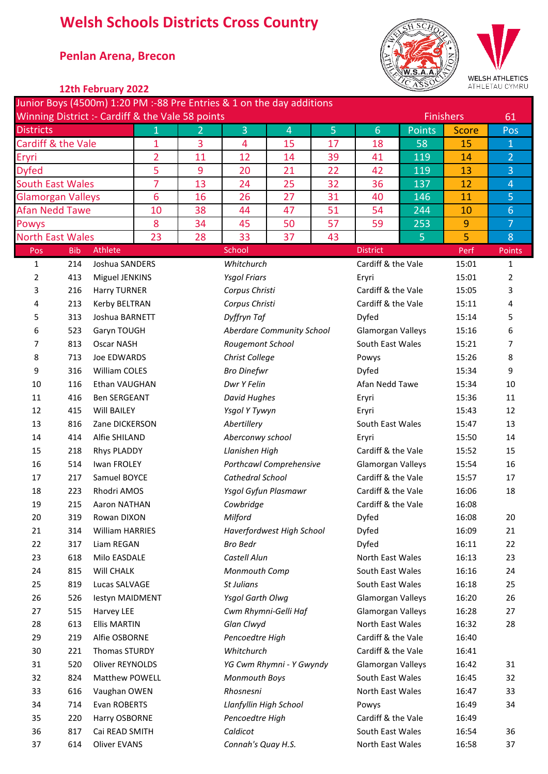## **Welsh Schools Districts Cross Country**

## \* **Penlan Arena, Brecon**



**\* 12th February 2022**

| Junior Boys (4500m) 1:20 PM :-88 Pre Entries & 1 on the day additions |            |                                   |                |                |                                          |                          |       |                                          |                        |                |                |
|-----------------------------------------------------------------------|------------|-----------------------------------|----------------|----------------|------------------------------------------|--------------------------|-------|------------------------------------------|------------------------|----------------|----------------|
| Winning District :- Cardiff & the Vale 58 points                      |            |                                   |                |                |                                          |                          |       |                                          | <b>Finishers</b><br>61 |                |                |
| <b>Districts</b>                                                      |            |                                   | $\mathbf{1}$   | 2              | 3                                        | $\overline{4}$           | 5     | $6 \overline{6}$                         | <b>Points</b>          | <b>Score</b>   | Pos            |
| Cardiff & the Vale                                                    |            |                                   | $\mathbf{1}$   | $\overline{3}$ | 4                                        | 15                       | 17    | 18                                       | 58                     | 15             | $\mathbf{1}$   |
| Eryri                                                                 |            |                                   | $\overline{2}$ | 11             | 12                                       | 14                       | 39    | 41                                       | 119                    | 14             | $\overline{2}$ |
| <b>Dyfed</b>                                                          |            |                                   | 5              | 9              | 20                                       | 21                       | 22    | 42                                       | 119                    | 13             | $\overline{3}$ |
| <b>South East Wales</b>                                               |            |                                   | $\overline{7}$ | 13             | 24                                       | 25                       | 32    | 36                                       | 137                    | 12             | $\overline{4}$ |
| <b>Glamorgan Valleys</b>                                              |            |                                   | 6              | 16             | 26                                       | 27                       | 31    | 40                                       | 146                    | 11             | $\overline{5}$ |
| <b>Afan Nedd Tawe</b>                                                 |            |                                   | 10             | 38             | 44                                       | 47                       | 51    | 54                                       | 244                    | 10             | $6\phantom{a}$ |
| <b>Powys</b>                                                          |            |                                   | 8              | 34             | 45                                       | 50                       | 57    | 59                                       | 253                    | $9$            | $\overline{7}$ |
| <b>North East Wales</b>                                               |            |                                   | 23             | 28             | 33                                       | 37                       | 43    |                                          | 5 <sup>1</sup>         | 5              | 8              |
| Pos                                                                   | <b>Bib</b> | Athlete                           |                |                | School                                   |                          |       | <b>District</b>                          |                        | Perf           | Points         |
| $\mathbf{1}$                                                          | 214        | Joshua SANDERS                    |                |                | Whitchurch                               |                          |       | Cardiff & the Vale                       |                        | 15:01          | 1              |
| 2                                                                     | 413        | Miguel JENKINS                    |                |                | <b>Ysgol Friars</b>                      |                          |       | Eryri                                    |                        | 15:01          | 2              |
| 3                                                                     | 216        | <b>Harry TURNER</b>               |                |                | Corpus Christi                           |                          |       | Cardiff & the Vale                       |                        | 15:05          | 3              |
| 4                                                                     | 213        | Kerby BELTRAN                     |                |                | Corpus Christi                           |                          |       | Cardiff & the Vale                       |                        | 15:11          | 4              |
| 5                                                                     | 313        | Joshua BARNETT                    |                |                | Dyffryn Taf                              |                          |       | Dyfed                                    |                        | 15:14          | 5              |
| 6                                                                     | 523        | Garyn TOUGH                       |                |                | Aberdare Community School                |                          |       | Glamorgan Valleys                        |                        | 15:16          | 6              |
| 7                                                                     | 813        | Oscar NASH                        |                |                | Rougemont School                         |                          |       | South East Wales                         |                        | 15:21          | 7              |
| 8                                                                     | 713        | Joe EDWARDS                       |                |                | Christ College                           |                          |       | Powys                                    |                        | 15:26          | 8              |
| 9                                                                     | 316        | <b>William COLES</b>              |                |                | <b>Bro Dinefwr</b>                       |                          |       | Dyfed                                    |                        | 15:34          | 9              |
| 10                                                                    | 116        | Ethan VAUGHAN                     |                |                | Dwr Y Felin                              |                          |       | Afan Nedd Tawe                           |                        | 15:34          | 10             |
| 11                                                                    | 416        | <b>Ben SERGEANT</b>               |                |                | David Hughes                             |                          |       | Eryri                                    |                        | 15:36          | 11             |
| 12                                                                    | 415        | Will BAILEY                       |                |                | Ysgol Y Tywyn                            |                          |       | Eryri                                    |                        | 15:43          | 12             |
| 13                                                                    | 816        | Zane DICKERSON                    |                |                | Abertillery                              |                          |       | South East Wales                         |                        | 15:47          | 13             |
| 14                                                                    | 414        | Alfie SHILAND                     |                |                | Aberconwy school                         |                          | Eryri |                                          | 15:50                  | 14             |                |
| 15                                                                    | 218        | Rhys PLADDY                       |                |                | Llanishen High                           |                          |       | Cardiff & the Vale                       |                        | 15:52          | 15             |
| 16                                                                    | 514        | Iwan FROLEY                       |                |                | <b>Porthcawl Comprehensive</b>           |                          |       | Glamorgan Valleys                        |                        | 15:54          | 16             |
| 17                                                                    | 217        | Samuel BOYCE                      |                |                | Cathedral School                         |                          |       | Cardiff & the Vale                       |                        | 15:57          | 17             |
| 18                                                                    | 223        | Rhodri AMOS                       |                |                | Ysgol Gyfun Plasmawr                     |                          |       | Cardiff & the Vale<br>Cardiff & the Vale |                        | 16:06          | 18             |
| 19                                                                    | 215        | Aaron NATHAN                      |                |                | Cowbridge                                |                          |       |                                          |                        | 16:08          |                |
| 20                                                                    | 319        | Rowan DIXON                       |                |                | Milford                                  |                          |       | Dyfed                                    |                        | 16:08          | 20             |
| 21                                                                    | 314        | <b>William HARRIES</b>            |                |                | Haverfordwest High School                |                          |       | Dyfed                                    |                        | 16:09          | 21             |
| 22                                                                    | 317        | Liam REGAN                        |                |                | <b>Bro Bedr</b>                          |                          |       | Dyfed                                    |                        | 16:11          | 22             |
| 23                                                                    | 618        | Milo EASDALE                      |                |                | Castell Alun                             |                          |       | North East Wales                         |                        | 16:13          | 23             |
| 24                                                                    | 815        | Will CHALK                        |                |                | Monmouth Comp<br>St Julians              |                          |       | South East Wales                         |                        | 16:16          | 24             |
| 25<br>26                                                              | 819<br>526 | Lucas SALVAGE                     |                |                |                                          |                          |       | South East Wales                         |                        | 16:18          | 25<br>26       |
| 27                                                                    | 515        | lestyn MAIDMENT                   |                |                | Ysgol Garth Olwg<br>Cwm Rhymni-Gelli Haf |                          |       | Glamorgan Valleys<br>Glamorgan Valleys   |                        | 16:20<br>16:28 | 27             |
| 28                                                                    | 613        | Harvey LEE<br><b>Ellis MARTIN</b> |                |                | Glan Clwyd                               |                          |       | North East Wales                         |                        | 16:32          | 28             |
| 29                                                                    | 219        | Alfie OSBORNE                     |                |                | Pencoedtre High                          |                          |       | Cardiff & the Vale                       |                        | 16:40          |                |
| 30                                                                    | 221        | Thomas STURDY                     |                |                | Whitchurch                               |                          |       | Cardiff & the Vale                       |                        | 16:41          |                |
| 31                                                                    | 520        | Oliver REYNOLDS                   |                |                |                                          | YG Cwm Rhymni - Y Gwyndy |       | Glamorgan Valleys                        |                        | 16:42          | 31             |
| 32                                                                    | 824        | Matthew POWELL                    |                |                | Monmouth Boys                            |                          |       | South East Wales                         |                        | 16:45          | 32             |
| 33                                                                    | 616        | Vaughan OWEN                      |                |                | Rhosnesni                                |                          |       | North East Wales                         |                        | 16:47          | 33             |
| 34                                                                    | 714        | Evan ROBERTS                      |                |                | Llanfyllin High School                   |                          |       | Powys                                    |                        | 16:49          | 34             |
| 35                                                                    | 220        | Harry OSBORNE                     |                |                | Pencoedtre High                          |                          |       | Cardiff & the Vale                       |                        | 16:49          |                |
| 36                                                                    | 817        | Cai READ SMITH                    |                |                | Caldicot                                 |                          |       | South East Wales<br>16:54                |                        |                | 36             |
| 37                                                                    | 614        | Oliver EVANS                      |                |                | Connah's Quay H.S.                       |                          |       | North East Wales                         |                        | 16:58          | 37             |
|                                                                       |            |                                   |                |                |                                          |                          |       |                                          |                        |                |                |